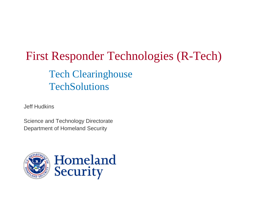# First Responder Technologies (R-Tech) Tech Clearinghouse **TechSolutions**

Jeff Hudkins

Science and Technology Directorate Department of Homeland Security

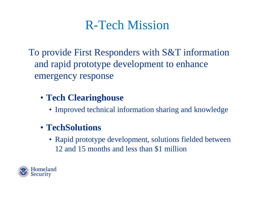# R-Tech Mission

To provide First Responders with S&T information and rapid prototype development to enhance emergency response

- **Tech Clearinghouse**
	- Improved technical information sharing and knowledge

### • **TechSolutions**

• Rapid prototype development, solutions fielded between 12 and 15 months and less than \$1 million

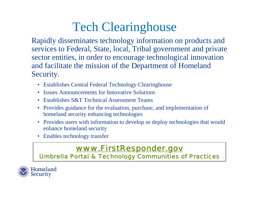# Tech Clearinghouse

Rapidly disseminates technology information on products and services to Federal, State, local, Tribal government and private sector entities, in order to encourage technological innovation and facilitate the mission of the Department of Homeland Security.

- Establishes Central Federal Technology Clearinghouse
- Issues Announcements for Innovative Solutions
- Establishes S&T Technical Assessment Teams
- Provides guidance for the evaluation, purchase, and implementation of homeland security enhancing technologies
- Provides users with information to develop or deploy technologies that would enhance homeland security
- Enables technology transfer

### *[www.FirstResponder.gov](http://www.firstresponder.gov/)*

*Umbrella Portal & Technology Communities of Practices*

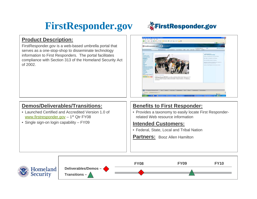### **FirstResponder.gov**



#### **Product Description:**

FirstResponder.gov is a web-based umbrella portal that serves as a one-stop-shop to disseminate technology information to First Responders. The portal facilitates compliance with Section 313 of the Homeland Security Act of 2002.



### **Demos/Deliverables/Transitions:**

- Launched Certified and Accredited Version 1.0 of [www.firstresponder.gov](http://www.firstresponder.gov/) - 1<sup>st</sup> Qtr FY08
- Single sign-on login capability FY09

### **Benefits to First Responder:**

• Provides a taxonomy to easily locate First Responderrelated Web resource information

- Federal, State, Local and Tribal Nation
- **Partners:** Booz Allen Hamilton

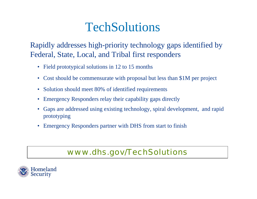# **TechSolutions**

Rapidly addresses high-priority technology gaps identified by Federal, State, Local, and Tribal first responders

- Field prototypical solutions in 12 to 15 months
- Cost should be commensurate with proposal but less than \$1M per project
- Solution should meet 80% of identified requirements
- Emergency Responders relay their capability gaps directly
- Gaps are addressed using existing technology, spiral development, and rapid prototyping
- Emergency Responders partner with DHS from start to finish

### *www.dhs.gov/TechSolutions*

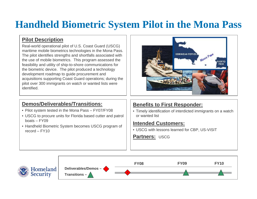### **Handheld Biometric System Pilot in the Mona Pass**

### **Pilot Description**

Real-world operational pilot of U.S. Coast Guard (USCG) maritime mobile biometrics technologies in the Mona Pass. The pilot identifies strengths and shortfalls associated with the use of mobile biometrics. This program assessed the feasibility and utility of ship-to-shore communications for the biometric device. The pilot produced a technology development roadmap to guide procurement and acquisitions supporting Coast Guard operations; during the pilot over 300 immigrants on watch or wanted lists were identified.



### **Demos/Deliverables/Transitions:**

- Pilot system tested in the Mona Pass FY07/FY08
- USCG to procure units for Florida based cutter and patrol boats – FY09
- Handheld Biometric System becomes USCG program of record – FY10

### **Benefits to First Responder:**

• Timely identification of interdicted immigrants on a watch or wanted list

### **Intended Customers:**

• USCG with lessons learned for CBP, US-VISIT

**Partners:** USCG

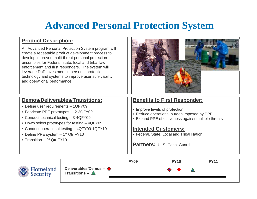### **Advanced Personal Protection System**

### **Product Description:**

An Advanced Personal Protection System program will create a repeatable product development process to develop improved multi-threat personal protection ensembles for Federal, state, local and tribal law enforcement and first responders. The system will leverage DoD investment in personal protection technology and systems to improve user survivability and operational performance.

### **Demos/Deliverables/Transitions:**

- Define user requirements 1QFY09
- Fabricate PPE prototypes 2-3QFY09
- Conduct technical testing 3-4QFY09
- Down select prototypes for testing 4QFY09
- Conduct operational testing 4QFY09-1QFY10
- Define PPE system  $-1$ <sup>st</sup> Qtr FY10
- Transition  $-2<sup>d</sup>$  Otr FY10



### **Benefits to First Responder:**

- Improve levels of protection
- Reduce operational burden imposed by PPE
- Expand PPE effectiveness against multiple threats

#### **Intended Customers:**

• Federal, State, Local and Tribal Nation

**Partners:** U. S. Coast Guard

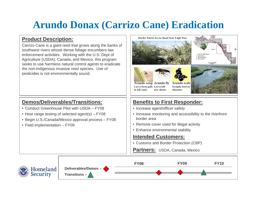### **Arundo Donax (Carrizo Cane) Eradication**

### **Product Description:**

Carrizo Cane is a giant reed that grows along the banks of southwest rivers whose dense foliage encumbers law enforcement activities. Working with the U.S. Dept of Agriculture (USDA), Canada, and Mexico, this program seeks to use harmless natural control agents to eradicate the non-indigenous invasive reed species. Use of pesticides is not environmentally sound.

### **Demos/Deliverables/Transitions:**

- Conduct Greenhouse Pilot with USDA FY08
- Host range testing of selected agent(s) FY08
- Begin U.S./Canada/Mexico approval process FY08
- Field implementation FY09



- Remove cover used for illegal activity
- Enhance environmental stability

- Customs and Border Protection (CBP)
- Partners: USDA, Canada, Mexico

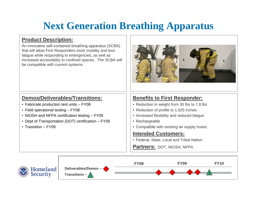### **Next Generation Breathing Apparatus**

### **Product Description:**

An innovative self-contained breathing apparatus (SCBA) that will allow First Responders more mobility and less fatigue while responding to emergencies, as well as increased accessibility to confined spaces. The SCBA will be compatible with current systems.



### **Demos/Deliverables/Transitions:**

- Fabricate production test units FY08
- Field operational testing FY08
- NIOSH and NFPA certification testing FY09
- Dept of Transportation (DOT) certification FY09
- Transition FY09

### **Benefits to First Responder:**

- Reduction in weight from 30 lbs to 7.8 lbs
- Reduction of profile to 1.625 inches
- Increased flexibility and reduced fatigue
- Rechargeable
- Compatible with existing air supply hoses

#### **Intended Customers:**

• Federal, State, Local and Tribal Nation

**Partners: DOT, NIOSH, NFPA** 

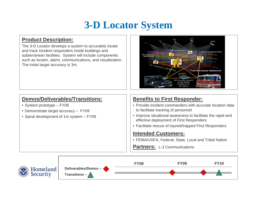### **3-D Locator System**

### **Product Description:**

The 3-D Locator develops a system to accurately locate and track incident responders inside buildings and subterranean facilities. System will include components such as locator, alarm, communications, and visualization. The initial target accuracy is 3m.



### **Demos/Deliverables/Transitions:**

- System prototype FY08
- Demonstrate target accuracy FY09
- Spiral development of 1m system FY09

### **Benefits to First Responder:**

- Provide incident commanders with accurate location data to facilitate tracking of personnel
- Improve situational awareness to facilitate the rapid and effective deployment of First Responders
- Facilitate rescue of injured/trapped First Responders

### **Intended Customers:**

• FEMA/USFA, Federal, State, Local and Tribal Nation

**Partners:** L-3 Communications

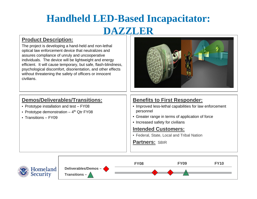## **Handheld LED-Based Incapacitator: DAZZLER**

### **Product Description:**

The project is developing a hand-held and non-lethal optical law enforcement device that neutralizes and assures compliance of unruly and uncooperative individuals. The device will be lightweight and energy efficient. It will cause temporary, but safe, flash-blindness, psychological discomfort, disorientation, and other effects without threatening the safety of officers or innocent civilians.



### **Demos/Deliverables/Transitions:**

- Prototype installation and test FY08
- Prototype demonstration  $-4$ <sup>th</sup> Qtr FY08
- Transitions FY09

### **Benefits to First Responder:**

- Improved less-lethal capabilities for law enforcement personnel
- Greater range in terms of application of force
- Increased safety for civilians

#### **Intended Customers:**

• Federal, State, Local and Tribal Nation

#### **Partners:** SBIR

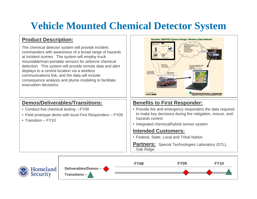### **Vehicle Mounted Chemical Detector System**

### **Product Description:**

The chemical detector system will provide incident commanders with awareness of a broad range of hazards at incident scenes. The system will employ truck mountable/man-portable sensors for airborne chemical detection. This system will provide remote data and alert displays to a central location via a wireless communications link, and the data will include consequence analysis and plume modeling to facilitate evacuation decisions.



### **Demos/Deliverables/Transitions:**

- Conduct live chemical testing FY09
- Field prototype demo with local First Responders FY09
- Transition FY10

### **Benefits to First Responder:**

- Provide fire and emergency responders the data required to make key decisions during fire mitigation, rescue, and hazards control
- Integrated chemical/hybrid sensor system

### **Intended Customers:**

• Federal, State, Local and Tribal Nation

**Partners:** Special Technologies Laboratory (STL), Oak Ridge

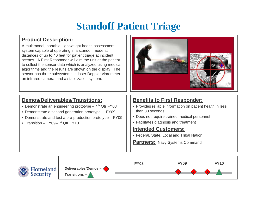### **Standoff Patient Triage**

### **Product Description:**

A multimodal, portable, lightweight health assessment system capable of operating in a standoff mode at distances of up to 40 feet for patient triage at incident scenes. A First Responder will aim the unit at the patient to collect the sensor data which is analyzed using medical algorithms and the results are shown on the display. The sensor has three subsystems: a laser Doppler vibrometer, an infrared camera, and a stabilization system.

### **Demos/Deliverables/Transitions:**

- Demonstrate an engineering prototype  $-4<sup>th</sup>$  Qtr FY08
- Demonstrate a second generation prototype FY09
- Demonstrate and test a pre-production prototype FY09
- Transition FY09–1<sup>st</sup> Otr FY10

### **Benefits to First Responder:**

- Provides reliable information on patient health in less than 30 seconds
- Does not require trained medical personnel
- Facilitates diagnosis and treatment

- Federal, State, Local and Tribal Nation
- **Partners: Navy Systems Command**

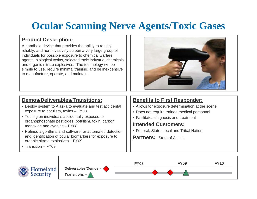### **Ocular Scanning Nerve Agents/Toxic Gases**

### **Product Description:**

A handheld device that provides the ability to rapidly, reliably, and non-invasively screen a very large group of individuals for possible exposure to chemical warfare agents, biological toxins, selected toxic industrial chemicals and organic nitrate explosives. The technology will be simple to use, require minimal training, and be inexpensive to manufacture, operate, and maintain.



### **Demos/Deliverables/Transitions:**

- Deploy system to Alaska to evaluate and test accidental exposure to botulism, toxins – FY08
- Testing on individuals accidentally exposed to organophosphate pesticides, botulism, toxin, carbon monoxide and cyanide – FY08
- Refined algorithms and software for automated detection and identification of ocular biomarkers for exposure to organic nitrate explosives – FY09
- Transition FY09

### **Benefits to First Responder:**

- Allows for exposure determination at the scene
- Does not require trained medical personnel
- Facilitates diagnosis and treatment

- Federal, State, Local and Tribal Nation
- **Partners:** State of Alaska